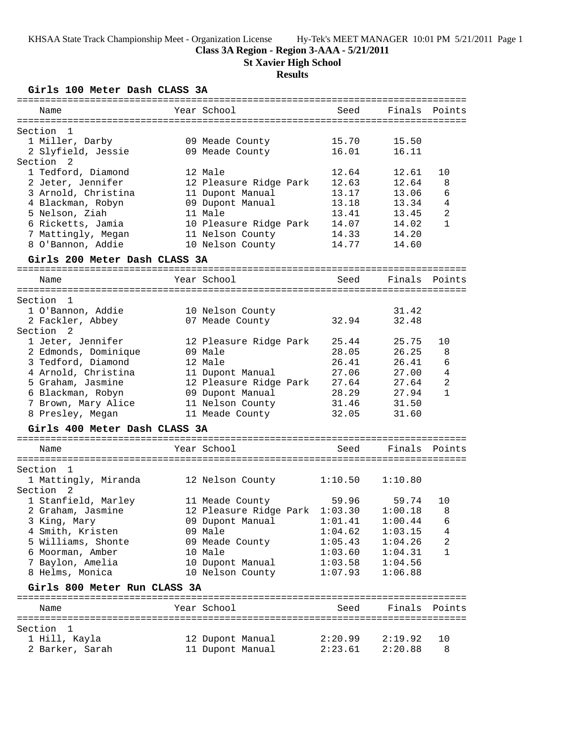### **Class 3A Region - Region 3-AAA - 5/21/2011**

**St Xavier High School**

# **Results**

**Girls 100 Meter Dash CLASS 3A**

| ===========                      |                                      | ================================== |                |                |
|----------------------------------|--------------------------------------|------------------------------------|----------------|----------------|
| Name                             | Year School                          | Seed                               | Finals         | Points         |
|                                  |                                      |                                    |                |                |
| Section<br>-1<br>1 Miller, Darby |                                      | 15.70                              |                |                |
| 2 Slyfield, Jessie               | 09 Meade County                      | 16.01                              | 15.50<br>16.11 |                |
| Section <sub>2</sub>             | 09 Meade County                      |                                    |                |                |
|                                  |                                      |                                    |                |                |
| 1 Tedford, Diamond               | 12 Male                              | 12.64                              | 12.61          | 10             |
| 2 Jeter, Jennifer                | 12 Pleasure Ridge Park               | 12.63                              | 12.64          | 8              |
| 3 Arnold, Christina              | 11 Dupont Manual                     | 13.17                              | 13.06          | 6              |
| 4 Blackman, Robyn                | 09 Dupont Manual                     | 13.18                              | 13.34          | $\overline{4}$ |
| 5 Nelson, Ziah                   | 11 Male                              | 13.41                              | 13.45          | $\overline{2}$ |
| 6 Ricketts, Jamia                | 10 Pleasure Ridge Park               | 14.07                              | 14.02          | 1              |
| 7 Mattingly, Megan               | 11 Nelson County                     | 14.33                              | 14.20          |                |
| 8 O'Bannon, Addie                | 10 Nelson County                     | 14.77                              | 14.60          |                |
| Girls 200 Meter Dash CLASS 3A    |                                      |                                    |                |                |
| Name                             | Year School                          | Seed                               | Finals         | Points         |
|                                  |                                      |                                    |                |                |
| Section<br>1                     |                                      |                                    |                |                |
| 1 O'Bannon, Addie                | 10 Nelson County                     |                                    | 31.42          |                |
| 2 Fackler, Abbey                 | 07 Meade County                      | 32.94                              | 32.48          |                |
| 2<br>Section                     |                                      |                                    |                |                |
| 1 Jeter, Jennifer                | 12 Pleasure Ridge Park               | 25.44                              | 25.75          | 10             |
| 2 Edmonds, Dominique             | 09 Male                              | 28.05                              | 26.25          | 8              |
| 3 Tedford, Diamond               | 12 Male                              | 26.41                              | 26.41          | 6              |
| 4 Arnold, Christina              |                                      | 27.06                              | 27.00          | $\sqrt{4}$     |
|                                  | 11 Dupont Manual                     | 27.64                              | 27.64          | 2              |
| 5 Graham, Jasmine                | 12 Pleasure Ridge Park               |                                    |                |                |
| 6 Blackman, Robyn                | 09 Dupont Manual                     | 28.29                              | 27.94          | $\mathbf{1}$   |
| 7 Brown, Mary Alice              | 11 Nelson County                     | 31.46                              | 31.50          |                |
| 8 Presley, Megan                 | 11 Meade County                      | 32.05                              | 31.60          |                |
| Girls 400 Meter Dash CLASS 3A    |                                      |                                    |                |                |
| Name                             | Year School                          | Seed                               | Finals         | Points         |
|                                  |                                      |                                    |                |                |
| Section<br>1                     |                                      |                                    |                |                |
| 1 Mattingly, Miranda             | 12 Nelson County                     | 1:10.50                            | 1:10.80        |                |
| Section<br>2                     |                                      |                                    |                |                |
| 1 Stanfield, Marley              | 11 Meade County                      | 59.96                              | 59.74          | 10             |
| 2 Graham, Jasmine                | 12 Pleasure Ridge Park 1:03.30       |                                    | 1:00.18        | 8              |
| 3 King, Mary                     | 09 Dupont Manual                     | 1:01.41                            | 1:00.44        | 6              |
| 4 Smith, Kristen                 | 09 Male                              |                                    |                |                |
|                                  |                                      | 1:04.62                            | 1:03.15        | 4              |
| 5 Williams, Shonte               | 09 Meade County                      | 1:05.43                            | 1:04.26        | 2              |
| 6 Moorman, Amber                 | 10 Male                              | 1:03.60                            | 1:04.31        | $\mathbf{1}$   |
| 7 Baylon, Amelia                 | 10 Dupont Manual                     | 1:03.58                            | 1:04.56        |                |
| 8 Helms, Monica                  | 10 Nelson County                     | 1:07.93                            | 1:06.88        |                |
| Girls 800 Meter Run CLASS 3A     |                                      |                                    |                |                |
| Name                             | Year School                          | Seed                               | Finals         | Points         |
|                                  |                                      |                                    |                |                |
| Section<br>- 1                   |                                      |                                    |                |                |
| 1 Hill, Kayla                    | 12 Dupont Manual<br>11 Dupont Manual | 2:20.99<br>2:23.61                 | 2:19.92        | 10<br>8        |
| 2 Barker, Sarah                  |                                      |                                    | 2:20.88        |                |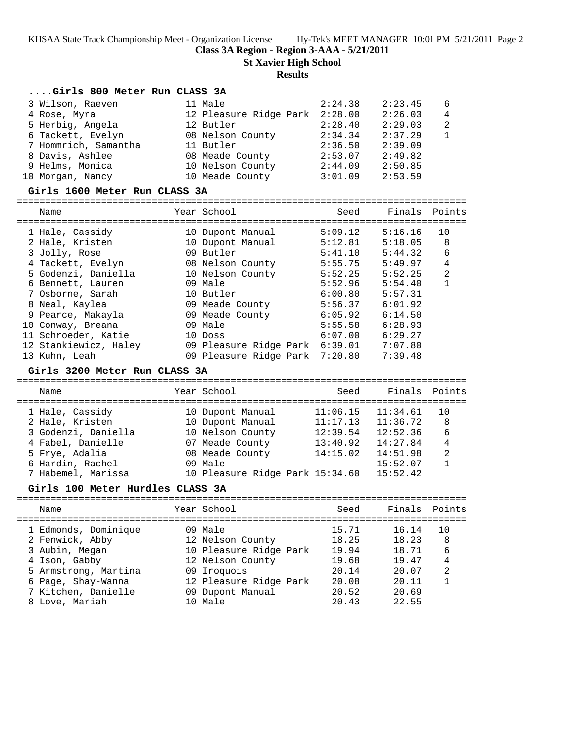**Class 3A Region - Region 3-AAA - 5/21/2011**

**St Xavier High School**

#### **Results**

## **....Girls 800 Meter Run CLASS 3A**

| 3 Wilson, Raeven     | 11 Male                | 2:24.38 | 2:23.45 | 6              |
|----------------------|------------------------|---------|---------|----------------|
| 4 Rose, Myra         | 12 Pleasure Ridge Park | 2:28.00 | 2:26.03 | $\overline{4}$ |
| 5 Herbig, Angela     | 12 Butler              | 2:28.40 | 2:29.03 | 2              |
| 6 Tackett, Evelyn    | 08 Nelson County       | 2:34.34 | 2:37.29 |                |
| 7 Hommrich, Samantha | 11 Butler              | 2:36.50 | 2:39.09 |                |
| 8 Davis, Ashlee      | 08 Meade County        | 2:53.07 | 2:49.82 |                |
| 9 Helms, Monica      | 10 Nelson County       | 2:44.09 | 2:50.85 |                |
| 10 Morgan, Nancy     | 10 Meade County        | 3:01.09 | 2:53.59 |                |

#### **Girls 1600 Meter Run CLASS 3A**

| Name                  | Year School                    | Seed    | Finals Points |                |
|-----------------------|--------------------------------|---------|---------------|----------------|
| 1 Hale, Cassidy       | 10 Dupont Manual               | 5:09.12 | 5:16.16       | 10             |
| 2 Hale, Kristen       | 10 Dupont Manual               | 5:12.81 | 5:18.05       | 8              |
| 3 Jolly, Rose         | 09 Butler                      | 5:41.10 | 5:44.32       | 6              |
| 4 Tackett, Evelyn     | 08 Nelson County               | 5:55.75 | 5:49.97       | 4              |
| 5 Godenzi, Daniella   | 10 Nelson County               | 5:52.25 | 5:52.25       | $\overline{2}$ |
| 6 Bennett, Lauren     | 09 Male                        | 5:52.96 | 5:54.40       | $\mathbf{1}$   |
| 7 Osborne, Sarah      | 10 Butler                      | 6:00.80 | 5:57.31       |                |
| 8 Neal, Kaylea        | 09 Meade County                | 5:56.37 | 6:01.92       |                |
| 9 Pearce, Makayla     | 09 Meade County                | 6:05.92 | 6:14.50       |                |
| 10 Conway, Breana     | 09 Male                        | 5:55.58 | 6:28.93       |                |
| 11 Schroeder, Katie   | 10 Doss                        | 6:07.00 | 6:29.27       |                |
| 12 Stankiewicz, Haley | 09 Pleasure Ridge Park         | 6:39.01 | 7:07.80       |                |
| 13 Kuhn, Leah         | 09 Pleasure Ridge Park 7:20.80 |         | 7:39.48       |                |

#### **Girls 3200 Meter Run CLASS 3A**

================================================================================ Name The Year School Seed Finals Points ================================================================================ 1 Hale, Cassidy 10 Dupont Manual 11:06.15 11:34.61 10 2 Hale, Kristen 10 Dupont Manual 11:17.13 11:36.72 8 3 Godenzi, Daniella 10 Nelson County 12:39.54 12:52.36 6 4 Fabel, Danielle 07 Meade County 13:40.92 14:27.84 4 5 Frye, Adalia 08 Meade County 14:15.02 14:51.98 2 6 Hardin, Rachel 09 Male 15:52.07 1 7 Habemel, Marissa 10 Pleasure Ridge Park 15:34.60 15:52.42

#### **Girls 100 Meter Hurdles CLASS 3A**

================================================================================ Name The Sear School Seed Finals Points ================================================================================ 1 Edmonds, Dominique 199 Male 15.71 16.14 10 2 Fenwick, Abby 12 Nelson County 18.25 18.23 8 3 Aubin, Megan 10 Pleasure Ridge Park 19.94 18.71 6 4 Ison, Gabby 12 Nelson County 19.68 19.47 4 5 Armstrong, Martina 09 Iroquois 20.14 20.07 2 6 Page, Shay-Wanna 12 Pleasure Ridge Park 20.08 20.11 1 7 Kitchen, Danielle 09 Dupont Manual 20.52 20.69 8 Love, Mariah 10 Male 20.43 22.55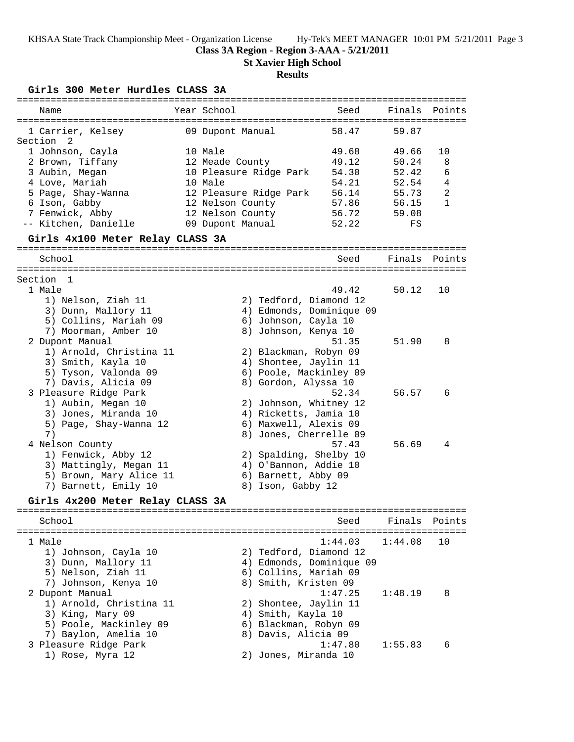### **Class 3A Region - Region 3-AAA - 5/21/2011**

**St Xavier High School**

## **Results**

## **Girls 300 Meter Hurdles CLASS 3A**

| =========================              |                  |                        | ====================                          |         |                |
|----------------------------------------|------------------|------------------------|-----------------------------------------------|---------|----------------|
| Name                                   | Year School      |                        | Seed                                          | Finals  | Points         |
| 1 Carrier, Kelsey<br>Section 2         | 09 Dupont Manual |                        | 58.47                                         | 59.87   |                |
| 1 Johnson, Cayla                       | 10 Male          |                        | 49.68                                         | 49.66   | 10             |
| 2 Brown, Tiffany                       | 12 Meade County  |                        | 49.12                                         | 50.24   | 8              |
| 3 Aubin, Megan                         |                  | 10 Pleasure Ridge Park | 54.30                                         | 52.42   | 6              |
| 4 Love, Mariah                         | 10 Male          |                        | 54.21                                         | 52.54   | 4              |
| 5 Page, Shay-Wanna                     |                  | 12 Pleasure Ridge Park | 56.14                                         | 55.73   | $\overline{a}$ |
| 6 Ison, Gabby                          | 12 Nelson County |                        | 57.86                                         | 56.15   | $\mathbf{1}$   |
| 7 Fenwick, Abby                        | 12 Nelson County |                        | 56.72                                         | 59.08   |                |
| -- Kitchen, Danielle                   | 09 Dupont Manual |                        | 52.22                                         | FS      |                |
| Girls 4x100 Meter Relay CLASS 3A       |                  |                        |                                               |         |                |
| School                                 |                  |                        | Seed                                          | Finals  | Points         |
| Section 1                              |                  |                        |                                               |         |                |
| 1 Male                                 |                  |                        | 49.42                                         | 50.12   | 10             |
| 1) Nelson, Ziah 11                     |                  | 2) Tedford, Diamond 12 |                                               |         |                |
| 3) Dunn, Mallory 11                    |                  |                        | 4) Edmonds, Dominique 09                      |         |                |
| 5) Collins, Mariah 09                  |                  | 6) Johnson, Cayla 10   |                                               |         |                |
| 7) Moorman, Amber 10                   |                  | 8) Johnson, Kenya 10   |                                               |         |                |
| 2 Dupont Manual                        |                  |                        | 51.35                                         | 51.90   | 8              |
| 1) Arnold, Christina 11                |                  | 2) Blackman, Robyn 09  |                                               |         |                |
| 3) Smith, Kayla 10                     |                  | 4) Shontee, Jaylin 11  |                                               |         |                |
| 5) Tyson, Valonda 09                   |                  | 6) Poole, Mackinley 09 |                                               |         |                |
| 7) Davis, Alicia 09                    |                  | 8) Gordon, Alyssa 10   |                                               |         |                |
| 3 Pleasure Ridge Park                  |                  |                        | 52.34                                         | 56.57   | 6              |
| 1) Aubin, Megan 10                     |                  | 2) Johnson, Whitney 12 |                                               |         |                |
| 3) Jones, Miranda 10                   |                  | 4) Ricketts, Jamia 10  |                                               |         |                |
| 5) Page, Shay-Wanna 12                 |                  | 6) Maxwell, Alexis 09  |                                               |         |                |
| 7)                                     |                  | 8) Jones, Cherrelle 09 | 57.43                                         | 56.69   | 4              |
| 4 Nelson County<br>1) Fenwick, Abby 12 |                  | 2) Spalding, Shelby 10 |                                               |         |                |
| 3) Mattingly, Megan 11                 |                  | 4) O'Bannon, Addie 10  |                                               |         |                |
| 5) Brown, Mary Alice 11                |                  | 6) Barnett, Abby 09    |                                               |         |                |
| 7) Barnett, Emily 10                   |                  | 8) Ison, Gabby 12      |                                               |         |                |
| Girls 4x200 Meter Relay CLASS 3A       |                  |                        |                                               |         |                |
|                                        |                  |                        |                                               |         |                |
| School                                 |                  |                        | Seed<br>------------------------------------- | Finals  | Points         |
| 1 Male                                 |                  |                        | 1:44.03                                       | 1:44.08 | 10             |
| 1) Johnson, Cayla 10                   |                  | 2) Tedford, Diamond 12 |                                               |         |                |
| 3) Dunn, Mallory 11                    |                  |                        | 4) Edmonds, Dominique 09                      |         |                |
| 5) Nelson, Ziah 11                     |                  | 6) Collins, Mariah 09  |                                               |         |                |
| 7) Johnson, Kenya 10                   |                  | 8) Smith, Kristen 09   |                                               |         |                |
| 2 Dupont Manual                        |                  |                        | 1:47.25                                       | 1:48.19 | 8              |
| 1) Arnold, Christina 11                |                  | 2) Shontee, Jaylin 11  |                                               |         |                |
| 3) King, Mary 09                       |                  | 4) Smith, Kayla 10     |                                               |         |                |
| 5) Poole, Mackinley 09                 |                  | 6) Blackman, Robyn 09  |                                               |         |                |
| 7) Baylon, Amelia 10                   |                  | 8) Davis, Alicia 09    |                                               |         |                |
| 3 Pleasure Ridge Park                  |                  |                        | 1:47.80                                       | 1:55.83 | 6              |
| 1) Rose, Myra 12                       |                  | 2) Jones, Miranda 10   |                                               |         |                |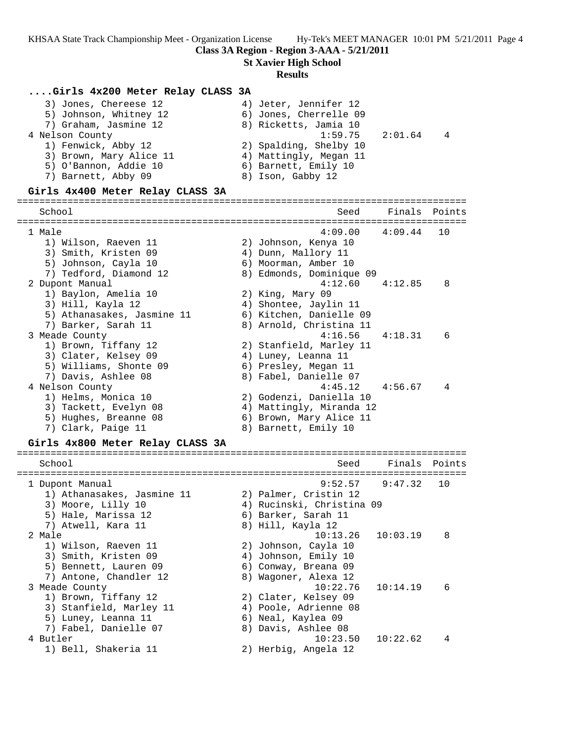**Class 3A Region - Region 3-AAA - 5/21/2011**

**St Xavier High School**

#### **Results**

#### **....Girls 4x200 Meter Relay CLASS 3A**

| 3) Jones, Chereese 12   | 4) Jeter, Jennifer 12  |   |
|-------------------------|------------------------|---|
| 5) Johnson, Whitney 12  | 6) Jones, Cherrelle 09 |   |
| 7) Graham, Jasmine 12   | 8) Ricketts, Jamia 10  |   |
| 4 Nelson County         | $1:59.75$ $2:01.64$    | 4 |
| 1) Fenwick, Abby 12     | 2) Spalding, Shelby 10 |   |
| 3) Brown, Mary Alice 11 | 4) Mattingly, Megan 11 |   |
| 5) O'Bannon, Addie 10   | 6) Barnett, Emily 10   |   |
| 7) Barnett, Abby 09     | 8) Ison, Gabby 12      |   |
|                         |                        |   |

#### **Girls 4x400 Meter Relay CLASS 3A**

================================================================================ School Seed Finals Points ================================================================================ 1 Male 4:09.00 4:09.44 10 1) Wilson, Raeven 11 2) Johnson, Kenya 10 3) Smith, Kristen 09 4) Dunn, Mallory 11 5) Johnson, Cayla 10 6) Moorman, Amber 10 7) Tedford, Diamond 12 8) Edmonds, Dominique 09 2 Dupont Manual 4:12.60 4:12.85 8 1) Baylon, Amelia 10 2) King, Mary 09 3) Hill, Kayla 12 4) Shontee, Jaylin 11 5) Athanasakes, Jasmine 11 6) Kitchen, Danielle 09 7) Barker, Sarah 11 8) Arnold, Christina 11 3 Meade County 4:16.56 4:18.31 6 1) Brown, Tiffany 12 2) Stanfield, Marley 11 3) Clater, Kelsey 09 4) Luney, Leanna 11 5) Williams, Shonte 09 (6) Presley, Megan 11 7) Davis, Ashlee 08 8) Fabel, Danielle 07 4 Nelson County 4:45.12 4:56.67 4 1) Helms, Monica 10 2) Godenzi, Daniella 10 3) Tackett, Evelyn 08 4) Mattingly, Miranda 12 5) Hughes, Breanne 08 6) Brown, Mary Alice 11 7) Clark, Paige 11 and 8) Barnett, Emily 10

#### **Girls 4x800 Meter Relay CLASS 3A**

| School                     | Seed                      | Finals Points         |    |
|----------------------------|---------------------------|-----------------------|----|
| 1 Dupont Manual            |                           | $9:52.57$ $9:47.32$   | 10 |
| 1) Athanasakes, Jasmine 11 | 2) Palmer, Cristin 12     |                       |    |
| 3) Moore, Lilly 10         | 4) Rucinski, Christina 09 |                       |    |
| 5) Hale, Marissa 12        | 6) Barker, Sarah 11       |                       |    |
| 7) Atwell, Kara 11         | 8) Hill, Kayla 12         |                       |    |
| 2 Male                     |                           | $10:13.26$ $10:03.19$ | 8  |
| 1) Wilson, Raeven 11       | 2) Johnson, Cayla 10      |                       |    |
| 3) Smith, Kristen 09       | 4) Johnson, Emily 10      |                       |    |
| 5) Bennett, Lauren 09      | 6) Conway, Breana 09      |                       |    |
| 7) Antone, Chandler 12     | 8) Wagoner, Alexa 12      |                       |    |
| 3 Meade County             | 10:22.76                  | 10:14.19              | 6  |
| 1) Brown, Tiffany 12       | 2) Clater, Kelsey 09      |                       |    |
| 3) Stanfield, Marley 11    | 4) Poole, Adrienne 08     |                       |    |
| 5) Luney, Leanna 11        | 6) Neal, Kaylea 09        |                       |    |
| 7) Fabel, Danielle 07      | 8) Davis, Ashlee 08       |                       |    |
| 4 Butler                   | 10:23.50                  | 10:22.62              | 4  |
| 1) Bell, Shakeria 11       | 2) Herbig, Angela 12      |                       |    |
|                            |                           |                       |    |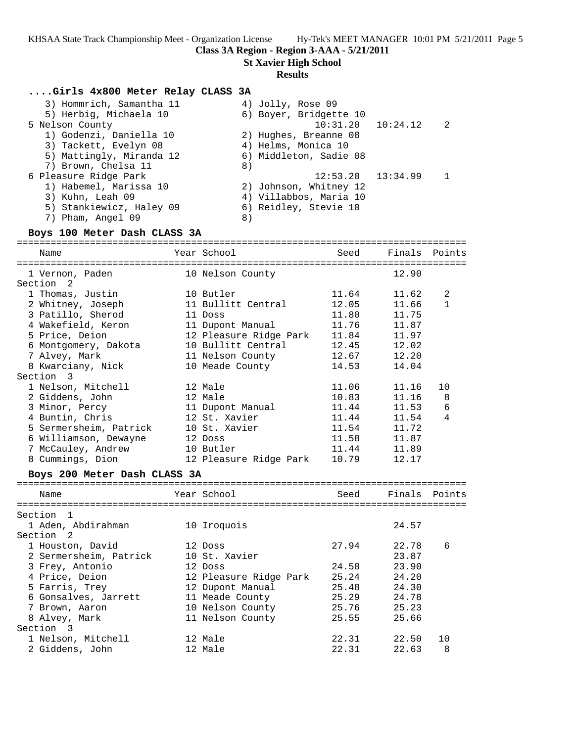**Class 3A Region - Region 3-AAA - 5/21/2011**

**St Xavier High School**

#### **Results**

#### **....Girls 4x800 Meter Relay CLASS 3A**

| 3) Hommrich, Samantha 11 | 4) Jolly, Rose 09          |
|--------------------------|----------------------------|
| 5) Herbig, Michaela 10   | 6) Boyer, Bridgette 10     |
| 5 Nelson County          | $10:31.20$ $10:24.12$<br>2 |
| 1) Godenzi, Daniella 10  | 2) Hughes, Breanne 08      |
| 3) Tackett, Evelyn 08    | 4) Helms, Monica 10        |
| 5) Mattingly, Miranda 12 | 6) Middleton, Sadie 08     |
| 7) Brown, Chelsa 11      | 8)                         |
| 6 Pleasure Ridge Park    | $12:53.20$ $13:34.99$      |
| 1) Habemel, Marissa 10   | 2) Johnson, Whitney 12     |
| 3) Kuhn, Leah 09         | 4) Villabbos, Maria 10     |
| 5) Stankiewicz, Haley 09 | 6) Reidley, Stevie 10      |
| 7) Pham, Angel 09        | 8)                         |

### **Boys 100 Meter Dash CLASS 3A**

| Name                         |  | Year School                    | Seed  | Finals Points |              |  |  |
|------------------------------|--|--------------------------------|-------|---------------|--------------|--|--|
|                              |  |                                |       |               | ----------   |  |  |
| 1 Vernon, Paden              |  | 10 Nelson County               |       | 12.90         |              |  |  |
| Section <sub>2</sub>         |  |                                |       |               |              |  |  |
| 1 Thomas, Justin             |  | 10 Butler                      |       | 11.64 11.62   | 2            |  |  |
| 2 Whitney, Joseph            |  | 11 Bullitt Central             | 12.05 | 11.66         | $\mathbf{1}$ |  |  |
| 3 Patillo, Sherod            |  | 11 Doss                        | 11.80 | 11.75         |              |  |  |
| 4 Wakefield, Keron           |  | 11 Dupont Manual 11.76 11.87   |       |               |              |  |  |
| 5 Price, Deion               |  | 12 Pleasure Ridge Park 11.84   |       | 11.97         |              |  |  |
| 6 Montgomery, Dakota         |  | 10 Bullitt Central 12.45 12.02 |       |               |              |  |  |
| 7 Alvey, Mark                |  | 11 Nelson County 12.67         |       | 12.20         |              |  |  |
| 8 Kwarciany, Nick            |  | 10 Meade County                | 14.53 | 14.04         |              |  |  |
| Section 3                    |  |                                |       |               |              |  |  |
| 1 Nelson, Mitchell           |  | 12 Male                        | 11.06 | 11.16         | 10           |  |  |
| 2 Giddens, John              |  | 12 Male                        | 10.83 | 11.16         | 8            |  |  |
| 3 Minor, Percy               |  | 11 Dupont Manual               | 11.44 | 11.53         | 6            |  |  |
| 4 Buntin, Chris              |  | 12 St. Xavier                  | 11.44 | 11.54         | 4            |  |  |
| 5 Sermersheim, Patrick       |  | 10 St. Xavier                  | 11.54 | 11.72         |              |  |  |
| 6 Williamson, Dewayne        |  | 12 Doss                        | 11.58 | 11.87         |              |  |  |
| 7 McCauley, Andrew           |  | 10 Butler 11.44 11.89          |       |               |              |  |  |
| 8 Cummings, Dion             |  | 12 Pleasure Ridge Park         | 10.79 | 12.17         |              |  |  |
| Boys 200 Meter Dash CLASS 3A |  |                                |       |               |              |  |  |

## ================================================================================ Name The Year School Seed Finals Points ================================================================================ Section 1 1 Aden, Abdirahman 10 Iroquois 24.57 Section 2 1 Houston, David 12 Doss 27.94 22.78 6 2 Sermersheim, Patrick 10 St. Xavier 23.87 3 Frey, Antonio 12 Doss 24.58 23.90 4 Price, Deion 12 Pleasure Ridge Park 25.24 24.20 5 Farris, Trey 12 Dupont Manual 25.48 24.30 6 Gonsalves, Jarrett 11 Meade County 25.29 24.78 7 Brown, Aaron 10 Nelson County 25.76 25.23 8 Alvey, Mark 11 Nelson County 25.55 25.66 Section 3 1 Nelson, Mitchell 12 Male 22.31 22.50 10 2 Giddens, John 12 Male 22.31 22.63 8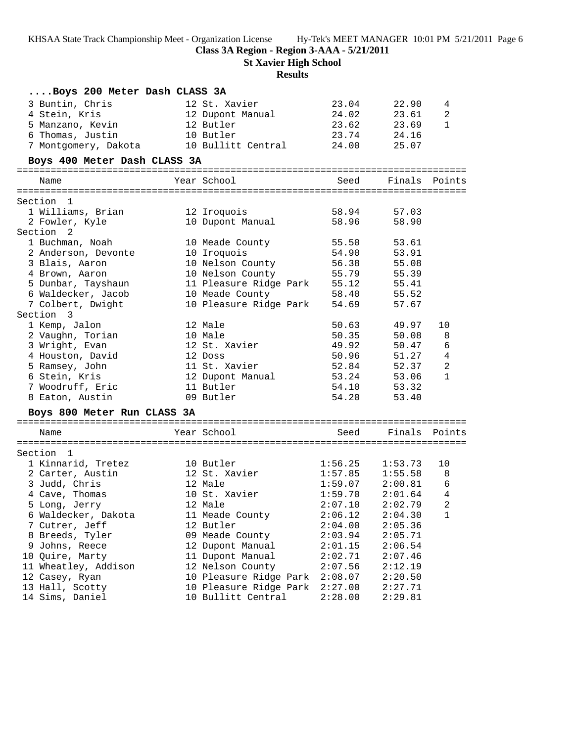**Class 3A Region - Region 3-AAA - 5/21/2011**

**St Xavier High School**

# **Results**

| Boys 200 Meter Dash CLASS 3A |                              |                    |                     |                |
|------------------------------|------------------------------|--------------------|---------------------|----------------|
| 3 Buntin, Chris              | 12 St. Xavier                | 23.04              | 22.90               | 4              |
| 4 Stein, Kris                | 12 Dupont Manual             | 24.02              | 23.61               | $\overline{a}$ |
| 5 Manzano, Kevin             | 12 Butler                    | 23.62              | 23.69               | $\mathbf{1}$   |
| 6 Thomas, Justin             | 10 Butler                    | 23.74              | 24.16               |                |
| 7 Montgomery, Dakota         | 10 Bullitt Central           | 24.00              | 25.07               |                |
| Boys 400 Meter Dash CLASS 3A |                              |                    |                     |                |
| Name                         | Year School                  |                    | Seed Finals Points  |                |
| Section 1                    |                              |                    |                     |                |
| 1 Williams, Brian            | 12 Iroquois                  | 58.94              | 57.03               |                |
| 2 Fowler, Kyle               | 10 Dupont Manual             | 58.96              | 58.90               |                |
| Section 2                    |                              |                    |                     |                |
| 1 Buchman, Noah              | 10 Meade County              | 55.50              | 53.61               |                |
| 2 Anderson, Devonte          | 10 Iroquois                  | 54.90              | 53.91               |                |
| 3 Blais, Aaron               | 10 Nelson County             | 56.38              | 55.08               |                |
| 4 Brown, Aaron               | 10 Nelson County             | 55.79              | 55.39               |                |
| 5 Dunbar, Tayshaun           | 11 Pleasure Ridge Park 55.12 |                    | 55.41               |                |
| 6 Waldecker, Jacob           | 10 Meade County              | 58.40              | 55.52               |                |
| 7 Colbert, Dwight            | 10 Pleasure Ridge Park       | 54.69              | 57.67               |                |
| Section 3                    |                              |                    |                     |                |
| 1 Kemp, Jalon                | 12 Male                      | 50.63              | 49.97               | 10             |
| 2 Vaughn, Torian             | 10 Male                      | 50.35              | 50.08               | 8              |
| 3 Wright, Evan               | 12 St. Xavier                | 49.92              | 50.47               | $\epsilon$     |
| 4 Houston, David             | 12 Doss                      | 50.96              | 51.27               | $\,4$          |
| 5 Ramsey, John               | 11 St. Xavier                | 52.84              | 52.37               | $\sqrt{2}$     |
| 6 Stein, Kris                | 12 Dupont Manual             | 53.24              | 53.06               | 1              |
| 7 Woodruff, Eric             | 11 Butler                    | 54.10              | 53.32               |                |
| 8 Eaton, Austin              | 09 Butler                    | 54.20              | 53.40               |                |
| Boys 800 Meter Run CLASS 3A  |                              |                    |                     |                |
| Name                         | Year School                  | Seed               | Finals Points       |                |
|                              |                              |                    |                     |                |
| Section 1                    |                              |                    |                     |                |
| 1 Kinnarid, Tretez           | 10 Butler                    |                    | 1:53.73             | 10             |
| 2 Carter, Austin             | 12 St. Xavier                | 1:56.25<br>1:57.85 | 1:55.58             | 8              |
| 3 Judd, Chris                | 12 Male                      |                    | $1:59.07$ $2:00.81$ | $\epsilon$     |
| 4 Cave, Thomas               | 10 St. Xavier                | 1:59.70            | 2:01.64             | $\overline{4}$ |
| 5 Long, Jerry                | 12 Male                      | 2:07.10            | 2:02.79             | $\sqrt{2}$     |
| 6 Waldecker, Dakota          | 11 Meade County              | 2:06.12            | 2:04.30             | 1              |
| 7 Cutrer, Jeff               | 12 Butler                    | 2:04.00            | 2:05.36             |                |
| 8 Breeds, Tyler              | 09 Meade County              | 2:03.94            | 2:05.71             |                |
| 9 Johns, Reece               | 12 Dupont Manual             | 2:01.15            | 2:06.54             |                |
| 10 Quire, Marty              | 11 Dupont Manual             | 2:02.71            | 2:07.46             |                |
| 11 Wheatley, Addison         | 12 Nelson County             | 2:07.56            | 2:12.19             |                |
| 12 Casey, Ryan               | 10 Pleasure Ridge Park       | 2:08.07            | 2:20.50             |                |
| 13 Hall, Scotty              | 10 Pleasure Ridge Park       | 2:27.00            | 2:27.71             |                |
| 14 Sims, Daniel              | 10 Bullitt Central           | 2:28.00            | 2:29.81             |                |
|                              |                              |                    |                     |                |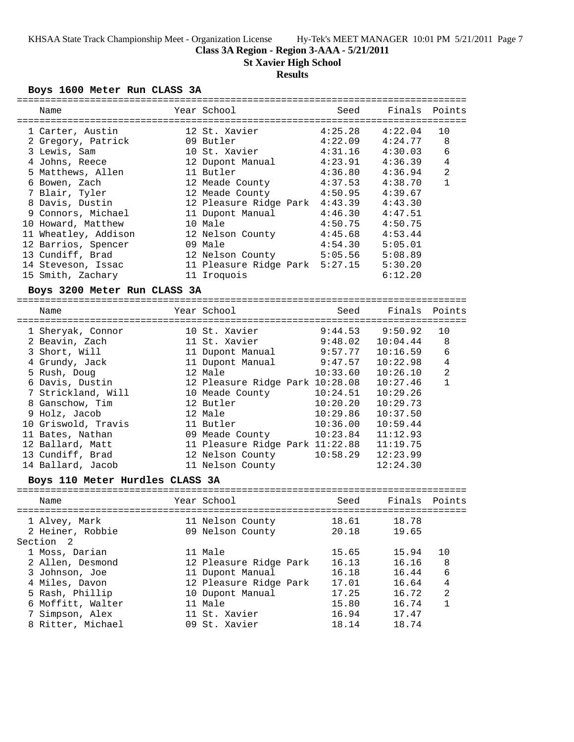**Class 3A Region - Region 3-AAA - 5/21/2011**

**St Xavier High School**

# **Results**

# **Boys 1600 Meter Run CLASS 3A**

| Name                                  |            | Year School                     | Seed     | Finals   | Points         |
|---------------------------------------|------------|---------------------------------|----------|----------|----------------|
|                                       |            |                                 |          |          |                |
| 1 Carter, Austin                      |            | 12 St. Xavier                   | 4:25.28  | 4:22.04  | 10             |
| 2 Gregory, Patrick                    |            | 09 Butler                       | 4:22.09  | 4:24.77  | 8              |
| 3 Lewis, Sam                          |            | 10 St. Xavier                   | 4:31.16  | 4:30.03  | 6              |
| 4 Johns, Reece                        |            | 12 Dupont Manual                | 4:23.91  | 4:36.39  | 4              |
| 5 Matthews, Allen                     |            | 11 Butler                       | 4:36.80  | 4:36.94  | 2              |
| 6 Bowen, Zach                         |            | 12 Meade County                 | 4:37.53  | 4:38.70  | 1              |
| 7 Blair, Tyler                        |            | 12 Meade County                 | 4:50.95  | 4:39.67  |                |
| 8 Davis, Dustin                       |            | 12 Pleasure Ridge Park 4:43.39  |          | 4:43.30  |                |
| 9 Connors, Michael                    |            | 11 Dupont Manual                | 4:46.30  | 4:47.51  |                |
| 10 Howard, Matthew                    |            | 10 Male                         | 4:50.75  | 4:50.75  |                |
| 11 Wheatley, Addison                  |            | 12 Nelson County                | 4:45.68  | 4:53.44  |                |
| 12 Barrios, Spencer                   |            | 09 Male                         | 4:54.30  | 5:05.01  |                |
| 13 Cundiff, Brad                      |            | 12 Nelson County                | 5:05.56  | 5:08.89  |                |
| 14 Steveson, Issac                    |            | 11 Pleasure Ridge Park 5:27.15  |          | 5:30.20  |                |
| 15 Smith, Zachary                     |            | 11 Iroquois                     |          | 6:12.20  |                |
|                                       |            |                                 |          |          |                |
| Boys 3200 Meter Run CLASS 3A          |            |                                 |          |          |                |
| Name                                  |            | Year School                     | Seed     | Finals   | Points         |
|                                       |            |                                 |          |          |                |
| 1 Sheryak, Connor                     |            | 10 St. Xavier                   | 9:44.53  | 9:50.92  | 10             |
| 2 Beavin, Zach                        |            | 11 St. Xavier                   | 9:48.02  | 10:04.44 | 8              |
| 3 Short, Will                         |            | 11 Dupont Manual                | 9:57.77  | 10:16.59 | 6              |
| 4 Grundy, Jack                        |            | 11 Dupont Manual                | 9:47.57  | 10:22.98 | 4              |
| 5 Rush, Doug                          |            | 12 Male                         | 10:33.60 | 10:26.10 | $\overline{a}$ |
| 6 Davis, Dustin                       |            | 12 Pleasure Ridge Park 10:28.08 |          | 10:27.46 | $\mathbf{1}$   |
| 7 Strickland, Will                    |            | 10 Meade County                 | 10:24.51 | 10:29.26 |                |
| 8 Ganschow, Tim                       |            | 12 Butler                       | 10:20.20 | 10:29.73 |                |
| 9 Holz, Jacob                         |            | 12 Male                         | 10:29.86 | 10:37.50 |                |
| 10 Griswold, Travis                   |            | 11 Butler                       | 10:36.00 | 10:59.44 |                |
| 11 Bates, Nathan                      |            | 09 Meade County                 | 10:23.84 | 11:12.93 |                |
| 12 Ballard, Matt                      |            | 11 Pleasure Ridge Park 11:22.88 |          | 11:19.75 |                |
| 13 Cundiff, Brad                      |            | 12 Nelson County                | 10:58.29 | 12:23.99 |                |
| 14 Ballard, Jacob                     |            | 11 Nelson County                |          | 12:24.30 |                |
|                                       |            |                                 |          |          |                |
| Boys 110 Meter Hurdles CLASS 3A       | ---------- |                                 |          |          |                |
| Name                                  |            | Year School                     | Seed     | Finals   | Points         |
|                                       |            |                                 |          |          |                |
| 1 Alvey, Mark                         |            | 11 Nelson County                | 18.61    | 18.78    |                |
| 2 Heiner, Robbie                      |            | 09 Nelson County                | 20.18    | 19.65    |                |
| Section<br>$\overline{\phantom{0}}^2$ |            |                                 |          |          |                |
| 1 Moss, Darian                        |            | 11 Male                         | 15.65    | 15.94    | 10             |
| 2 Allen, Desmond                      |            | 12 Pleasure Ridge Park          | 16.13    | 16.16    | 8              |
| 3 Johnson, Joe                        |            | 11 Dupont Manual                | 16.18    | 16.44    | 6              |
| 4 Miles, Davon                        |            | 12 Pleasure Ridge Park          | 17.01    | 16.64    | 4              |
| 5 Rash, Phillip                       |            | 10 Dupont Manual                | 17.25    | 16.72    | 2              |
| 6 Moffitt, Walter                     |            | 11 Male                         | 15.80    | 16.74    | $\mathbf{1}$   |
| 7 Simpson, Alex                       |            | 11 St. Xavier                   | 16.94    | 17.47    |                |
| 8 Ritter, Michael                     |            | 09 St. Xavier                   | 18.14    | 18.74    |                |
|                                       |            |                                 |          |          |                |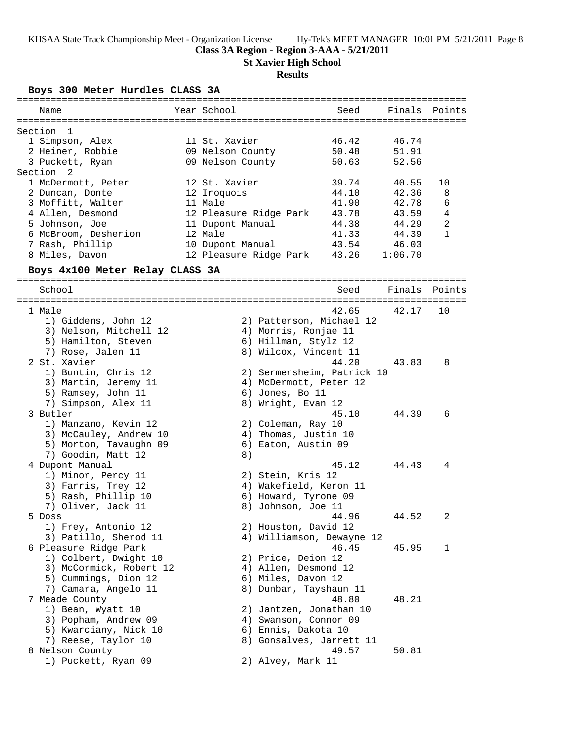### **Class 3A Region - Region 3-AAA - 5/21/2011**

**St Xavier High School**

## **Results**

**Boys 300 Meter Hurdles CLASS 3A**

| ===========                                    |                                            |       |               |                |
|------------------------------------------------|--------------------------------------------|-------|---------------|----------------|
| Name                                           | Year School                                | Seed  | Finals Points |                |
|                                                |                                            |       |               |                |
| Section<br>1                                   |                                            |       |               |                |
| 1 Simpson, Alex                                | 11 St. Xavier                              | 46.42 | 46.74         |                |
| 2 Heiner, Robbie                               | 09 Nelson County                           | 50.48 | 51.91         |                |
| 3 Puckett, Ryan                                | 09 Nelson County                           | 50.63 | 52.56         |                |
| Section <sub>2</sub>                           |                                            |       |               |                |
| 1 McDermott, Peter                             | 12 St. Xavier                              | 39.74 | 40.55         | 10             |
| 2 Duncan, Donte                                | 12 Iroquois                                | 44.10 | 42.36         | 8              |
| 3 Moffitt, Walter                              | 11 Male                                    | 41.90 | 42.78         | 6              |
| 4 Allen, Desmond                               | 12 Pleasure Ridge Park                     | 43.78 | 43.59         | 4              |
| 5 Johnson, Joe                                 | 11 Dupont Manual                           | 44.38 | 44.29         | $\overline{a}$ |
| 6 McBroom, Desherion                           | 12 Male                                    | 41.33 | 44.39         | $\mathbf{1}$   |
| 7 Rash, Phillip                                | 10 Dupont Manual                           | 43.54 | 46.03         |                |
| 8 Miles, Davon                                 | 12 Pleasure Ridge Park                     | 43.26 | 1:06.70       |                |
|                                                |                                            |       |               |                |
| Boys 4x100 Meter Relay CLASS 3A                |                                            |       |               |                |
| School                                         |                                            | Seed  | Finals Points |                |
|                                                |                                            |       |               |                |
| 1 Male                                         |                                            | 42.65 | 42.17         | 10             |
| 1) Giddens, John 12                            | 2) Patterson, Michael 12                   |       |               |                |
| 3) Nelson, Mitchell 12                         | 4) Morris, Ronjae 11                       |       |               |                |
| 5) Hamilton, Steven                            | 6) Hillman, Stylz 12                       |       |               |                |
| 7) Rose, Jalen 11                              | 8) Wilcox, Vincent 11                      |       |               |                |
| 2 St. Xavier                                   |                                            | 44.20 | 43.83         | 8              |
| 1) Buntin, Chris 12                            | 2) Sermersheim, Patrick 10                 |       |               |                |
| 3) Martin, Jeremy 11                           | 4) McDermott, Peter 12                     |       |               |                |
| 5) Ramsey, John 11                             | 6) Jones, Bo 11                            |       |               |                |
| 7) Simpson, Alex 11                            | 8) Wright, Evan 12                         |       |               |                |
| 3 Butler                                       |                                            | 45.10 | 44.39         | 6              |
| 1) Manzano, Kevin 12                           | 2) Coleman, Ray 10                         |       |               |                |
| 3) McCauley, Andrew 10                         | 4) Thomas, Justin 10                       |       |               |                |
| 5) Morton, Tavaughn 09                         | 6) Eaton, Austin 09                        |       |               |                |
| 7) Goodin, Matt 12                             | 8)                                         |       |               |                |
| 4 Dupont Manual                                |                                            | 45.12 | 44.43         | 4              |
| 1) Minor, Percy 11                             | 2) Stein, Kris 12                          |       |               |                |
| 3) Farris, Trey 12                             | 4) Wakefield, Keron 11                     |       |               |                |
| 5) Rash, Phillip 10                            | 6) Howard, Tyrone 09                       |       |               |                |
| 7) Oliver, Jack 11                             | 8) Johnson, Joe 11                         |       |               |                |
|                                                |                                            | 44.96 | 44.52         | 2              |
| 5 DOSS<br>1) Frey, Antonio 12                  | 2) Houston, David 12                       |       |               |                |
| 3) Patillo, Sherod 11                          | 4) Williamson, Dewayne 12                  |       |               |                |
|                                                |                                            | 46.45 | 45.95         | 1              |
| 6 Pleasure Ridge Park<br>1) Colbert, Dwight 10 |                                            |       |               |                |
| 3) McCormick, Robert 12                        | 2) Price, Deion 12<br>4) Allen, Desmond 12 |       |               |                |
|                                                |                                            |       |               |                |
| 5) Cummings, Dion 12                           | 6) Miles, Davon 12                         |       |               |                |
| 7) Camara, Angelo 11                           | 8) Dunbar, Tayshaun 11                     |       |               |                |
| 7 Meade County                                 |                                            | 48.80 | 48.21         |                |
| 1) Bean, Wyatt 10                              | 2) Jantzen, Jonathan 10                    |       |               |                |
| 3) Popham, Andrew 09                           | 4) Swanson, Connor 09                      |       |               |                |
| 5) Kwarciany, Nick 10                          | 6) Ennis, Dakota 10                        |       |               |                |
| 7) Reese, Taylor 10                            | 8) Gonsalves, Jarrett 11                   |       |               |                |
| 8 Nelson County                                |                                            | 49.57 | 50.81         |                |
| 1) Puckett, Ryan 09                            | 2) Alvey, Mark 11                          |       |               |                |
|                                                |                                            |       |               |                |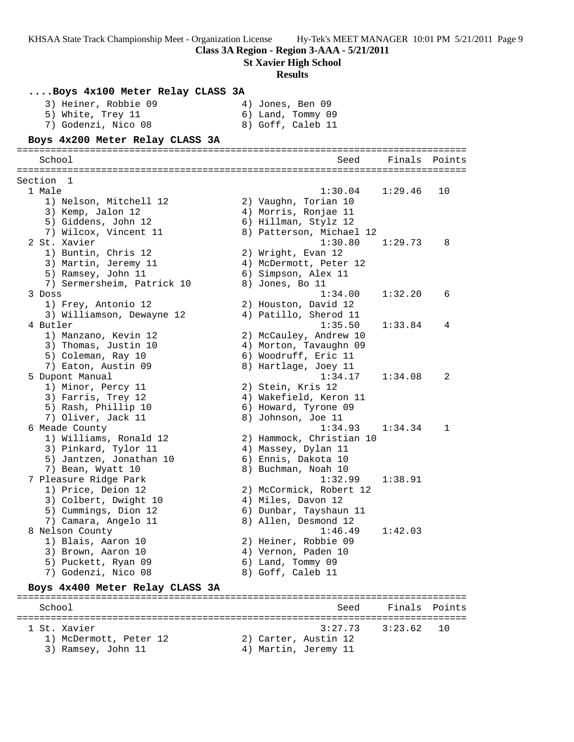**Class 3A Region - Region 3-AAA - 5/21/2011 St Xavier High School Results ....Boys 4x100 Meter Relay CLASS 3A** 3) Heiner, Robbie 09 (4) Jones, Ben 09 5) White, Trey 11 6) Land, Tommy 09 7) Godenzi, Nico 08 8) Goff, Caleb 11 **Boys 4x200 Meter Relay CLASS 3A** ================================================================================ School Seed Finals Points ================================================================================ Section 1 1 Male 1:30.04 1:29.46 10 1) Nelson, Mitchell 12 2) Vaughn, Torian 10 3) Kemp, Jalon 12 (4) Morris, Ronjae 11 5) Giddens, John 12 6) Hillman, Stylz 12 7) Wilcox, Vincent 11 8) Patterson, Michael 12 2 St. Xavier 1:30.80 1:29.73 8 1) Buntin, Chris 12 2) Wright, Evan 12 3) Martin, Jeremy 11 4) McDermott, Peter 12 5) Ramsey, John 11 6) Simpson, Alex 11 7) Sermersheim, Patrick 10 (8) Jones, Bo 11 3 Doss 1:34.00 1:32.20 6 1) Frey, Antonio 12 2) Houston, David 12 3) Williamson, Dewayne 12 4) Patillo, Sherod 11 4 Butler 1:35.50 1:33.84 4 1) Manzano, Kevin 12 2) McCauley, Andrew 10 3) Thomas, Justin 10 4) Morton, Tavaughn 09 5) Coleman, Ray 10 6) Woodruff, Eric 11 7) Eaton, Austin 09 8) Hartlage, Joey 11 5 Dupont Manual 1:34.17 1:34.08 2 1) Minor, Percy 11 2) Stein, Kris 12 3) Farris, Trey 12 4) Wakefield, Keron 11 5) Rash, Phillip 10 6) Howard, Tyrone 09 7) Oliver, Jack 11 8) Johnson, Joe 11 6 Meade County 1:34.93 1:34.34 1 1) Williams, Ronald 12 2) Hammock, Christian 10 3) Pinkard, Tylor 11 4) Massey, Dylan 11 5) Jantzen, Jonathan 10 6) Ennis, Dakota 10 7) Bean, Wyatt 10 8) Buchman, Noah 10 7 Pleasure Ridge Park 1:32.99 1:38.91 1) Price, Deion 12 2) McCormick, Robert 12 3) Colbert, Dwight 10 4) Miles, Davon 12 5) Cummings, Dion 12 6) Dunbar, Tayshaun 11 7) Camara, Angelo 11  $\hskip10mm 8)$  Allen, Desmond 12 8 Nelson County 1:46.49 1:42.03 1) Blais, Aaron 10 2) Heiner, Robbie 09 3) Brown, Aaron 10 (4) Vernon, Paden 10 5) Puckett, Ryan 09 6) Land, Tommy 09 7) Godenzi, Nico 08 8) Goff, Caleb 11 **Boys 4x400 Meter Relay CLASS 3A** ================================================================================ School Seed Finals Points ================================================================================ 1 St. Xavier 3:27.73 3:23.62 10 1) McDermott, Peter 12 (2) Carter, Austin 12 3) Ramsey, John 11 (4) Martin, Jeremy 11

KHSAA State Track Championship Meet - Organization License Hy-Tek's MEET MANAGER 10:01 PM 5/21/2011 Page 9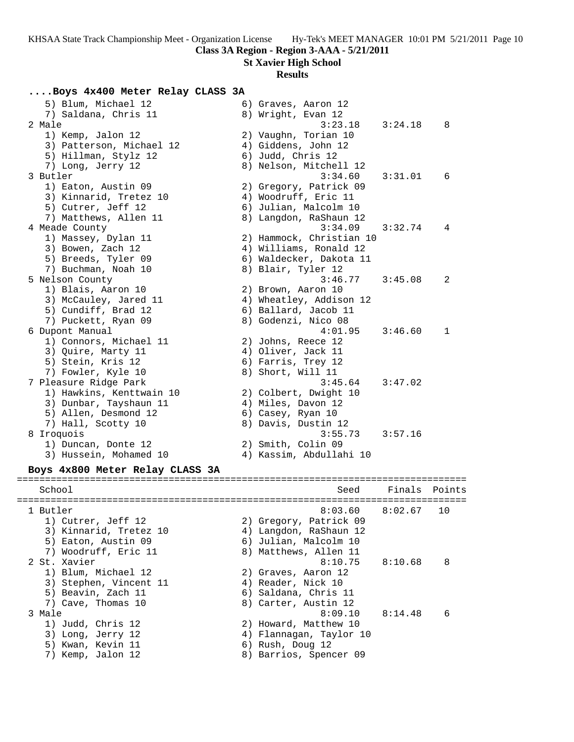# **Class 3A Region - Region 3-AAA - 5/21/2011**

**St Xavier High School**

## **Results**

## **....Boys 4x400 Meter Relay CLASS 3A**

| 5) Blum, Michael 12<br>7) Saldana, Chris 11 | 6) Graves, Aaron 12<br>8) Wright, Evan 12       |         |        |
|---------------------------------------------|-------------------------------------------------|---------|--------|
| 2 Male<br>1) Kemp, Jalon 12                 | 3:23.18<br>2) Vaughn, Torian 10                 | 3:24.18 | 8      |
| 3) Patterson, Michael 12                    | 4) Giddens, John 12                             |         |        |
| 5) Hillman, Stylz 12                        | 6) Judd, Chris 12                               |         |        |
| 7) Long, Jerry 12                           | 8) Nelson, Mitchell 12                          |         |        |
| 3 Butler                                    | 3:34.60                                         | 3:31.01 | 6      |
| 1) Eaton, Austin 09                         | 2) Gregory, Patrick 09                          |         |        |
| 3) Kinnarid, Tretez 10                      | 4) Woodruff, Eric 11                            |         |        |
| 5) Cutrer, Jeff 12<br>7) Matthews, Allen 11 | 6) Julian, Malcolm 10<br>8) Langdon, RaShaun 12 |         |        |
| 4 Meade County                              | 3:34.09                                         | 3:32.74 | 4      |
| 1) Massey, Dylan 11                         | 2) Hammock, Christian 10                        |         |        |
| 3) Bowen, Zach 12                           | 4) Williams, Ronald 12                          |         |        |
| 5) Breeds, Tyler 09                         | 6) Waldecker, Dakota 11                         |         |        |
| 7) Buchman, Noah 10                         | 8) Blair, Tyler 12                              |         |        |
| 5 Nelson County                             | 3:46.77                                         | 3:45.08 | 2      |
| 1) Blais, Aaron 10                          | 2) Brown, Aaron 10                              |         |        |
| 3) McCauley, Jared 11                       | 4) Wheatley, Addison 12                         |         |        |
| 5) Cundiff, Brad 12                         | 6) Ballard, Jacob 11                            |         |        |
| 7) Puckett, Ryan 09                         | 8) Godenzi, Nico 08                             |         |        |
| 6 Dupont Manual                             | 4:01.95                                         | 3:46.60 | 1      |
| 1) Connors, Michael 11                      | 2) Johns, Reece 12                              |         |        |
| 3) Quire, Marty 11                          | 4) Oliver, Jack 11                              |         |        |
| 5) Stein, Kris 12                           | 6) Farris, Trey 12                              |         |        |
| 7) Fowler, Kyle 10                          | 8) Short, Will 11                               |         |        |
| 7 Pleasure Ridge Park                       | 3:45.64                                         | 3:47.02 |        |
| 1) Hawkins, Kenttwain 10                    | 2) Colbert, Dwight 10                           |         |        |
| 3) Dunbar, Tayshaun 11                      | 4) Miles, Davon 12                              |         |        |
| 5) Allen, Desmond 12                        | 6) Casey, Ryan 10                               |         |        |
| 7) Hall, Scotty 10                          | 8) Davis, Dustin 12                             |         |        |
| 8 Iroquois                                  | 3:55.73                                         | 3:57.16 |        |
| 1) Duncan, Donte 12                         | 2) Smith, Colin 09                              |         |        |
| 3) Hussein, Mohamed 10                      | 4) Kassim, Abdullahi 10                         |         |        |
| Boys 4x800 Meter Relay CLASS 3A             |                                                 |         |        |
| School                                      | Seed                                            | Finals  | Points |
|                                             |                                                 |         |        |
| 1 Butler                                    | 8:03.60                                         | 8:02.67 | 10     |
| 1) Cutrer, Jeff 12                          | 2) Gregory, Patrick 09                          |         |        |
| 3) Kinnarid, Tretez 10                      | 4) Langdon, RaShaun 12                          |         |        |
| 5) Eaton, Austin 09                         | 6) Julian, Malcolm 10                           |         |        |
| 7) Woodruff, Eric 11                        | 8) Matthews, Allen 11                           |         |        |
| 2 St. Xavier                                | 8:10.75                                         | 8:10.68 | 8      |
| 1) Blum, Michael 12                         | 2) Graves, Aaron 12                             |         |        |
| 3) Stephen, Vincent 11                      | 4) Reader, Nick 10                              |         |        |
| 5) Beavin, Zach 11                          | 6) Saldana, Chris 11                            |         |        |
| 7) Cave, Thomas 10                          | 8) Carter, Austin 12                            |         |        |
| 3 Male                                      | 8:09.10                                         | 8:14.48 | 6      |
| 1) Judd, Chris 12                           | 2) Howard, Matthew 10                           |         |        |
| 3) Long, Jerry 12                           | 4) Flannagan, Taylor 10                         |         |        |
| 5) Kwan, Kevin 11                           | 6) Rush, Doug 12                                |         |        |
| 7) Kemp, Jalon 12                           | 8) Barrios, Spencer 09                          |         |        |